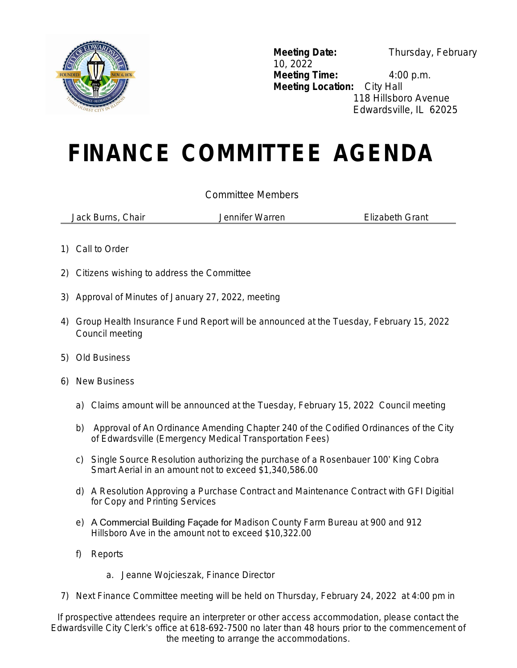

**Meeting Date:** Thursday, February 10, 2022 **Meeting Time:** 4:00 p.m. **Meeting Location:** City Hall 118 Hillsboro Avenue Edwardsville, IL 62025

## **FINANCE COMMITTEE AGENDA**

## Committee Members

Jack Burns, Chair Jennifer Warren Elizabeth Grant

- 1) Call to Order
- 2) Citizens wishing to address the Committee
- 3) Approval of Minutes of January 27, 2022, meeting
- 4) Group Health Insurance Fund Report will be announced at the Tuesday, February 15, 2022 Council meeting
- 5) Old Business
- 6) New Business
	- a) Claims amount will be announced at the Tuesday, February 15, 2022 Council meeting
	- b) Approval of An Ordinance Amending Chapter 240 of the Codified Ordinances of the City of Edwardsville (Emergency Medical Transportation Fees)
	- c) Single Source Resolution authorizing the purchase of a Rosenbauer 100' King Cobra Smart Aerial in an amount not to exceed \$1,340,586.00
	- d) A Resolution Approving a Purchase Contract and Maintenance Contract with GFI Digitial for Copy and Printing Services
	- e) A Commercial Building Façade for Madison County Farm Bureau at 900 and 912 Hillsboro Ave in the amount not to exceed \$10,322.00
	- f) Reports
		- a. Jeanne Wojcieszak, Finance Director
- 7) Next Finance Committee meeting will be held on Thursday, February 24, 2022 at 4:00 pm in

*If prospective attendees require an interpreter or other access accommodation, please contact the Edwardsville City Clerk*'*s office at 618-692-7500 no later than 48 hours prior to the commencement of the meeting to arrange the accommodations.*